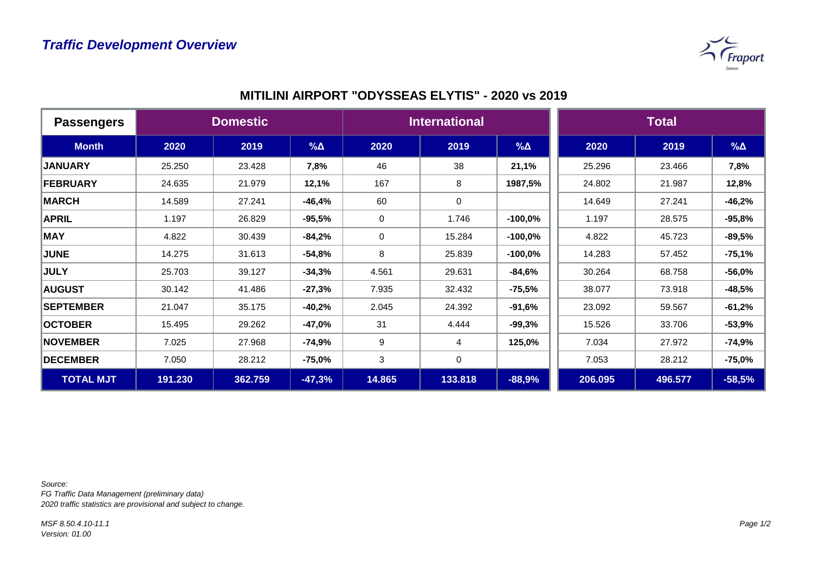

| <b>Passengers</b> | <b>Domestic</b> |         |             | <b>International</b> |         |            | <b>Total</b> |         |             |
|-------------------|-----------------|---------|-------------|----------------------|---------|------------|--------------|---------|-------------|
| <b>Month</b>      | 2020            | 2019    | $\% \Delta$ | 2020                 | 2019    | $% \Delta$ | 2020         | 2019    | $\% \Delta$ |
| <b>JANUARY</b>    | 25.250          | 23.428  | 7,8%        | 46                   | 38      | 21,1%      | 25.296       | 23.466  | 7,8%        |
| <b>FEBRUARY</b>   | 24.635          | 21.979  | 12,1%       | 167                  | 8       | 1987,5%    | 24.802       | 21.987  | 12,8%       |
| <b>MARCH</b>      | 14.589          | 27.241  | $-46,4%$    | 60                   | 0       |            | 14.649       | 27.241  | $-46,2%$    |
| <b>APRIL</b>      | 1.197           | 26.829  | $-95,5%$    | 0                    | 1.746   | $-100,0%$  | 1.197        | 28.575  | $-95,8%$    |
| <b>MAY</b>        | 4.822           | 30.439  | $-84,2%$    | $\mathbf 0$          | 15.284  | $-100,0%$  | 4.822        | 45.723  | $-89,5%$    |
| <b>JUNE</b>       | 14.275          | 31.613  | $-54,8%$    | 8                    | 25.839  | $-100,0%$  | 14.283       | 57.452  | $-75,1%$    |
| <b>JULY</b>       | 25.703          | 39.127  | $-34,3%$    | 4.561                | 29.631  | $-84,6%$   | 30.264       | 68.758  | $-56,0%$    |
| <b>AUGUST</b>     | 30.142          | 41.486  | $-27,3%$    | 7.935                | 32.432  | $-75,5%$   | 38.077       | 73.918  | $-48,5%$    |
| <b>SEPTEMBER</b>  | 21.047          | 35.175  | $-40,2%$    | 2.045                | 24.392  | $-91,6%$   | 23.092       | 59.567  | $-61,2%$    |
| <b>OCTOBER</b>    | 15.495          | 29.262  | $-47,0%$    | 31                   | 4.444   | $-99,3%$   | 15.526       | 33.706  | $-53,9%$    |
| <b>NOVEMBER</b>   | 7.025           | 27.968  | $-74,9%$    | 9                    | 4       | 125,0%     | 7.034        | 27.972  | $-74,9%$    |
| <b>DECEMBER</b>   | 7.050           | 28.212  | $-75,0%$    | 3                    | 0       |            | 7.053        | 28.212  | $-75,0%$    |
| <b>TOTAL MJT</b>  | 191.230         | 362.759 | $-47,3%$    | 14.865               | 133.818 | $-88,9%$   | 206.095      | 496.577 | $-58,5%$    |

*Source:* 

*FG Traffic Data Management (preliminary data) 2020 traffic statistics are provisional and subject to change.*

*MSF 8.50.4.10-11.1 Version: 01.00*